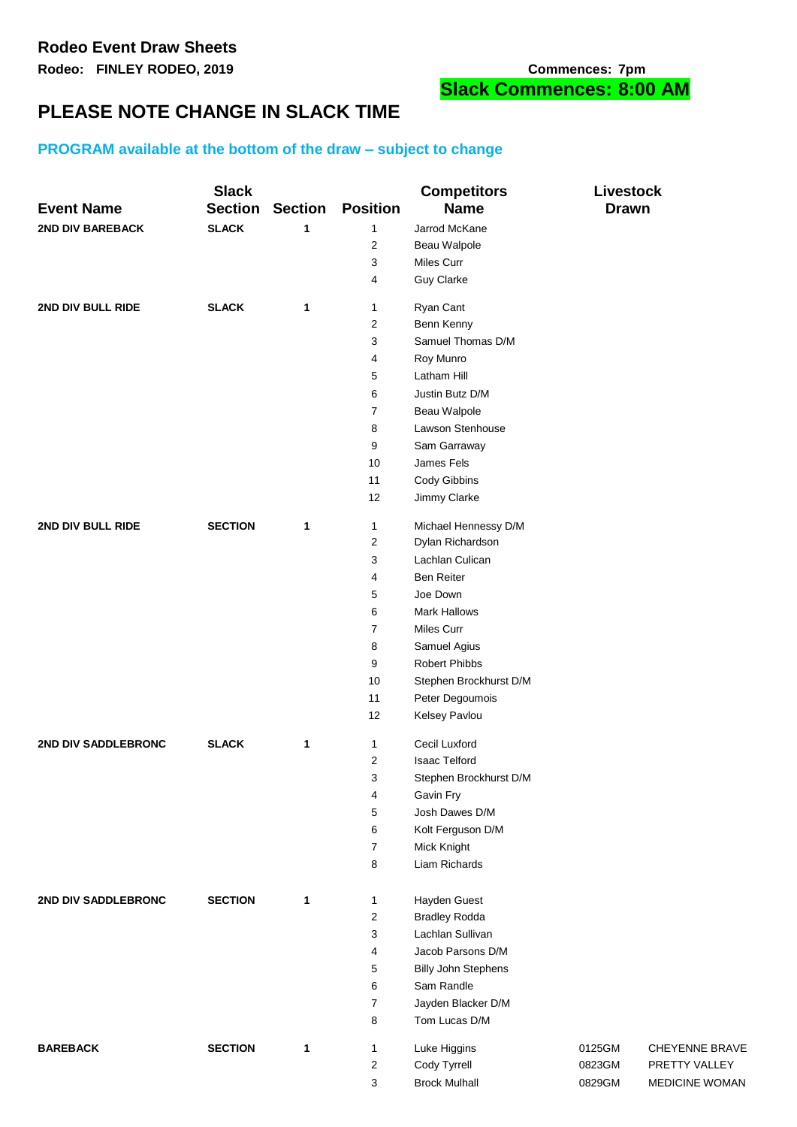# **PLEASE NOTE CHANGE IN SLACK TIME**

## **PROGRAM available at the bottom of the draw – subject to change**

| <b>Event Name</b>   | <b>Slack</b><br><b>Section</b> | <b>Section</b> | <b>Position</b>         | <b>Competitors</b><br><b>Name</b> | <b>Livestock</b><br><b>Drawn</b> |                |
|---------------------|--------------------------------|----------------|-------------------------|-----------------------------------|----------------------------------|----------------|
| 2ND DIV BAREBACK    | <b>SLACK</b>                   | 1              | 1                       | Jarrod McKane                     |                                  |                |
|                     |                                |                | 2                       | Beau Walpole                      |                                  |                |
|                     |                                |                | 3                       | Miles Curr                        |                                  |                |
|                     |                                |                | 4                       | <b>Guy Clarke</b>                 |                                  |                |
| 2ND DIV BULL RIDE   | <b>SLACK</b>                   | 1              | 1                       | Ryan Cant                         |                                  |                |
|                     |                                |                | $\overline{\mathbf{c}}$ | Benn Kenny                        |                                  |                |
|                     |                                |                | 3                       | Samuel Thomas D/M                 |                                  |                |
|                     |                                |                | 4                       | Roy Munro                         |                                  |                |
|                     |                                |                | 5                       | Latham Hill                       |                                  |                |
|                     |                                |                | 6                       | Justin Butz D/M                   |                                  |                |
|                     |                                |                | 7                       | Beau Walpole                      |                                  |                |
|                     |                                |                | 8                       | Lawson Stenhouse                  |                                  |                |
|                     |                                |                | 9                       | Sam Garraway                      |                                  |                |
|                     |                                |                | 10                      | James Fels                        |                                  |                |
|                     |                                |                | 11                      | Cody Gibbins                      |                                  |                |
|                     |                                |                | 12                      | Jimmy Clarke                      |                                  |                |
| 2ND DIV BULL RIDE   | <b>SECTION</b>                 | 1              | 1                       | Michael Hennessy D/M              |                                  |                |
|                     |                                |                | 2                       | Dylan Richardson                  |                                  |                |
|                     |                                |                | 3                       | Lachlan Culican                   |                                  |                |
|                     |                                |                | 4                       | Ben Reiter                        |                                  |                |
|                     |                                |                | 5                       | Joe Down                          |                                  |                |
|                     |                                |                | 6                       | <b>Mark Hallows</b>               |                                  |                |
|                     |                                |                | 7                       | Miles Curr                        |                                  |                |
|                     |                                |                | 8                       | Samuel Agius                      |                                  |                |
|                     |                                |                | 9                       | Robert Phibbs                     |                                  |                |
|                     |                                |                | 10                      | Stephen Brockhurst D/M            |                                  |                |
|                     |                                |                | 11                      | Peter Degoumois                   |                                  |                |
|                     |                                |                | 12                      | Kelsey Pavlou                     |                                  |                |
| 2ND DIV SADDLEBRONC | <b>SLACK</b>                   | $\mathbf{1}$   | 1                       | Cecil Luxford                     |                                  |                |
|                     |                                |                | 2                       | Isaac Telford                     |                                  |                |
|                     |                                |                | 3                       | Stephen Brockhurst D/M            |                                  |                |
|                     |                                |                | 4                       | Gavin Fry                         |                                  |                |
|                     |                                |                | 5                       | Josh Dawes D/M                    |                                  |                |
|                     |                                |                | 6                       | Kolt Ferguson D/M                 |                                  |                |
|                     |                                |                | $\overline{7}$          | Mick Knight                       |                                  |                |
|                     |                                |                | 8                       | Liam Richards                     |                                  |                |
| 2ND DIV SADDLEBRONC | <b>SECTION</b>                 | 1              | $\mathbf{1}$            | Hayden Guest                      |                                  |                |
|                     |                                |                | $\overline{\mathbf{c}}$ | <b>Bradley Rodda</b>              |                                  |                |
|                     |                                |                | 3                       | Lachlan Sullivan                  |                                  |                |
|                     |                                |                | 4                       | Jacob Parsons D/M                 |                                  |                |
|                     |                                |                | 5                       | <b>Billy John Stephens</b>        |                                  |                |
|                     |                                |                | 6                       | Sam Randle                        |                                  |                |
|                     |                                |                | $\overline{7}$          | Jayden Blacker D/M                |                                  |                |
|                     |                                |                | 8                       | Tom Lucas D/M                     |                                  |                |
| <b>BAREBACK</b>     | <b>SECTION</b>                 | $\mathbf{1}$   | 1                       | Luke Higgins                      | 0125GM                           | CHEYENNE BRAVE |
|                     |                                |                | $\overline{\mathbf{c}}$ | Cody Tyrrell                      | 0823GM                           | PRETTY VALLEY  |
|                     |                                |                | 3                       | <b>Brock Mulhall</b>              | 0829GM                           | MEDICINE WOMAN |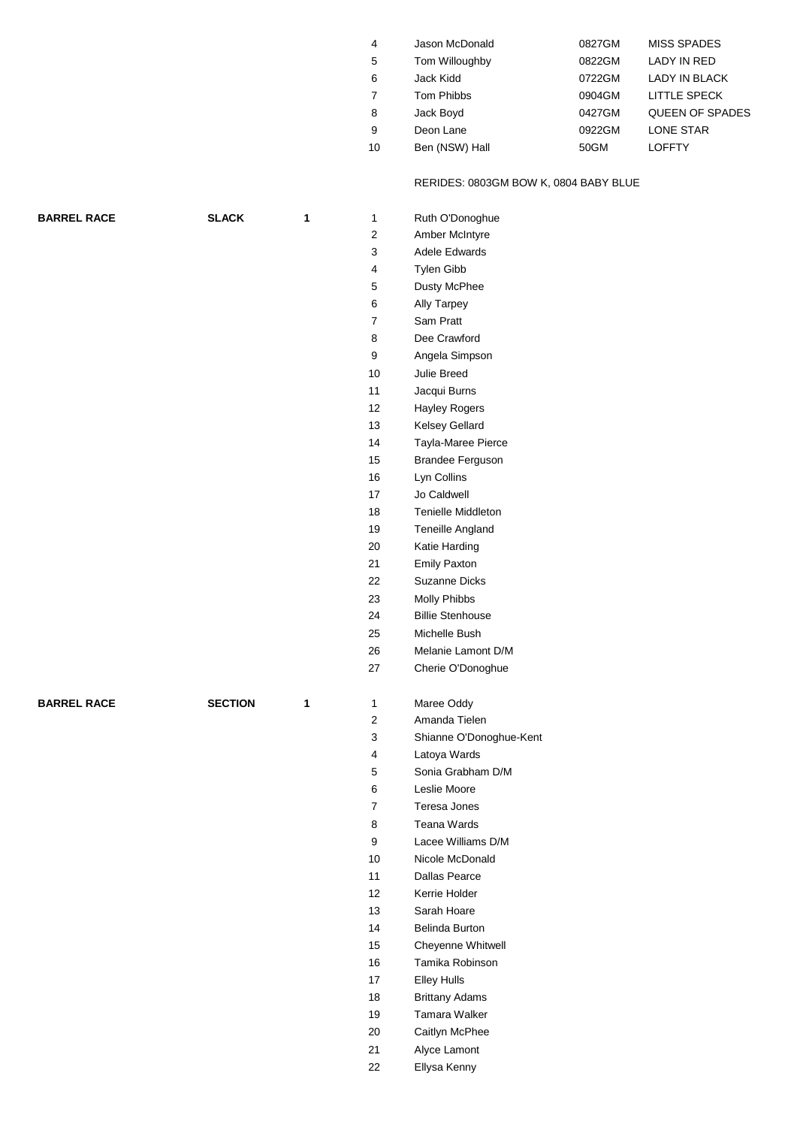| 4  | Jason McDonald | 0827GM | <b>MISS SPADES</b>     |
|----|----------------|--------|------------------------|
| 5  | Tom Willoughby | 0822GM | LADY IN RED            |
| 6  | Jack Kidd      | 0722GM | <b>LADY IN BLACK</b>   |
|    | Tom Phibbs     | 0904GM | <b>LITTLE SPECK</b>    |
| 8  | Jack Boyd      | 0427GM | <b>QUEEN OF SPADES</b> |
| 9  | Deon Lane      | 0922GM | <b>LONE STAR</b>       |
| 10 | Ben (NSW) Hall | 50GM   | <b>LOFFTY</b>          |
|    |                |        |                        |

### RERIDES: 0803GM BOW K, 0804 BABY BLUE

|                    | <b>SLACK</b>   | 1 | 1              | Ruth O'Donoghue              |
|--------------------|----------------|---|----------------|------------------------------|
|                    |                |   | 2              | Amber McIntyre               |
|                    |                |   | 3              | Adele Edwards                |
|                    |                |   | 4              | Tylen Gibb                   |
|                    |                |   | 5              | Dusty McPhee                 |
|                    |                |   | 6              | <b>Ally Tarpey</b>           |
|                    |                |   | $\overline{7}$ | Sam Pratt                    |
|                    |                |   | 8              | Dee Crawford                 |
|                    |                |   | 9              | Angela Simpson               |
|                    |                |   | 10             | Julie Breed                  |
|                    |                |   | 11             | Jacqui Burns                 |
|                    |                |   | 12             | Hayley Rogers                |
|                    |                |   | 13             | Kelsey Gellard               |
|                    |                |   | 14             | Tayla-Maree Pierce           |
|                    |                |   | 15             | <b>Brandee Ferguson</b>      |
|                    |                |   | 16             | Lyn Collins                  |
|                    |                |   | 17             | Jo Caldwell                  |
|                    |                |   | 18             | <b>Tenielle Middleton</b>    |
|                    |                |   | 19             | Teneille Angland             |
|                    |                |   | 20             | Katie Harding                |
|                    |                |   | 21             | <b>Emily Paxton</b>          |
|                    |                |   | 22             | Suzanne Dicks                |
|                    |                |   | 23             | Molly Phibbs                 |
|                    |                |   | 24             | <b>Billie Stenhouse</b>      |
|                    |                |   | 25             | Michelle Bush                |
|                    |                |   | 26             | Melanie Lamont D/M           |
|                    |                |   | 27             | Cherie O'Donoghue            |
|                    |                |   |                |                              |
|                    |                |   |                |                              |
|                    |                |   |                |                              |
| <b>BARREL RACE</b> | <b>SECTION</b> | 1 | 1              | Maree Oddy                   |
|                    |                |   | 2              | Amanda Tielen                |
|                    |                |   | 3              | Shianne O'Donoghue-Kent      |
|                    |                |   | 4              | Latoya Wards                 |
|                    |                |   | 5              | Sonia Grabham D/M            |
|                    |                |   | 6              | Leslie Moore                 |
|                    |                |   | 7              | Teresa Jones                 |
|                    |                |   | 8              | Teana Wards                  |
|                    |                |   | 9              | Lacee Williams D/M           |
|                    |                |   | 10             | Nicole McDonald              |
|                    |                |   | 11             | <b>Dallas Pearce</b>         |
|                    |                |   | 12             | Kerrie Holder                |
|                    |                |   | 13             | Sarah Hoare                  |
|                    |                |   | 14             | Belinda Burton               |
|                    |                |   | 15             | Cheyenne Whitwell            |
|                    |                |   | 16             | Tamika Robinson              |
|                    |                |   | 17             | <b>Elley Hulls</b>           |
|                    |                |   | 18             | <b>Brittany Adams</b>        |
|                    |                |   | 19             | <b>Tamara Walker</b>         |
|                    |                |   | 20             | Caitlyn McPhee               |
|                    |                |   | 21<br>22       | Alyce Lamont<br>Ellysa Kenny |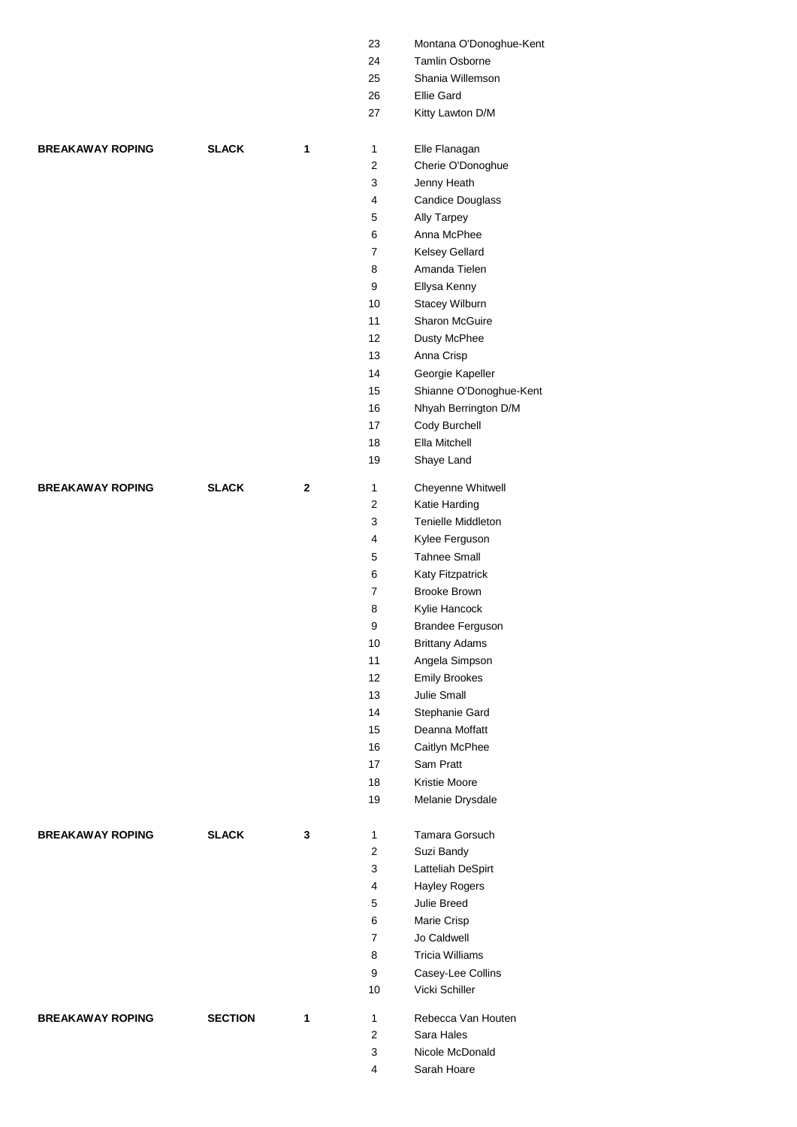|                         |                |             | 23                      | Montana O'Donoghue-Kent |
|-------------------------|----------------|-------------|-------------------------|-------------------------|
|                         |                |             | 24                      | Tamlin Osborne          |
|                         |                |             | 25                      | Shania Willemson        |
|                         |                |             | 26                      | <b>Ellie Gard</b>       |
|                         |                |             | 27                      | Kitty Lawton D/M        |
| <b>BREAKAWAY ROPING</b> | <b>SLACK</b>   | 1           | 1                       | Elle Flanagan           |
|                         |                |             | $\boldsymbol{2}$        | Cherie O'Donoghue       |
|                         |                |             | 3                       | Jenny Heath             |
|                         |                |             | $\overline{\mathbf{4}}$ | Candice Douglass        |
|                         |                |             | 5                       | Ally Tarpey             |
|                         |                |             | 6                       | Anna McPhee             |
|                         |                |             | 7                       | Kelsey Gellard          |
|                         |                |             | 8                       | Amanda Tielen           |
|                         |                |             | 9                       | Ellysa Kenny            |
|                         |                |             | 10                      | Stacey Wilburn          |
|                         |                |             | 11                      | Sharon McGuire          |
|                         |                |             | 12                      | Dusty McPhee            |
|                         |                |             | 13                      | Anna Crisp              |
|                         |                |             | 14                      | Georgie Kapeller        |
|                         |                |             | 15                      | Shianne O'Donoghue-Kent |
|                         |                |             | 16                      | Nhyah Berrington D/M    |
|                         |                |             | 17                      | Cody Burchell           |
|                         |                |             | 18                      | Ella Mitchell           |
|                         |                |             | 19                      | Shaye Land              |
| <b>BREAKAWAY ROPING</b> | <b>SLACK</b>   | $\mathbf 2$ | $\mathbf{1}$            | Cheyenne Whitwell       |
|                         |                |             | $\sqrt{2}$              | Katie Harding           |
|                         |                |             | 3                       | Tenielle Middleton      |
|                         |                |             | 4                       | Kylee Ferguson          |
|                         |                |             | 5                       | <b>Tahnee Small</b>     |
|                         |                |             | 6                       | Katy Fitzpatrick        |
|                         |                |             | $\overline{7}$          | <b>Brooke Brown</b>     |
|                         |                |             | 8                       | Kylie Hancock           |
|                         |                |             | 9                       | Brandee Ferguson        |
|                         |                |             | 10                      | <b>Brittany Adams</b>   |
|                         |                |             | 11                      | Angela Simpson          |
|                         |                |             | 12                      | <b>Emily Brookes</b>    |
|                         |                |             | 13                      | Julie Small             |
|                         |                |             | 14                      | Stephanie Gard          |
|                         |                |             | 15                      | Deanna Moffatt          |
|                         |                |             | 16                      | Caitlyn McPhee          |
|                         |                |             | 17                      | Sam Pratt               |
|                         |                |             | 18                      | Kristie Moore           |
|                         |                |             | 19                      | Melanie Drysdale        |
| <b>BREAKAWAY ROPING</b> | <b>SLACK</b>   | 3           | 1                       | <b>Tamara Gorsuch</b>   |
|                         |                |             | $\overline{c}$          | Suzi Bandy              |
|                         |                |             | 3                       | Latteliah DeSpirt       |
|                         |                |             | 4                       | <b>Hayley Rogers</b>    |
|                         |                |             | 5                       | Julie Breed             |
|                         |                |             | 6                       | Marie Crisp             |
|                         |                |             | $\overline{7}$          | Jo Caldwell             |
|                         |                |             | 8                       | <b>Tricia Williams</b>  |
|                         |                |             | 9                       | Casey-Lee Collins       |
|                         |                |             | 10                      | Vicki Schiller          |
| <b>BREAKAWAY ROPING</b> | <b>SECTION</b> | 1           | $\mathbf{1}$            | Rebecca Van Houten      |
|                         |                |             | $\mathbf{2}$            | Sara Hales              |
|                         |                |             | 3                       | Nicole McDonald         |
|                         |                |             | 4                       | Sarah Hoare             |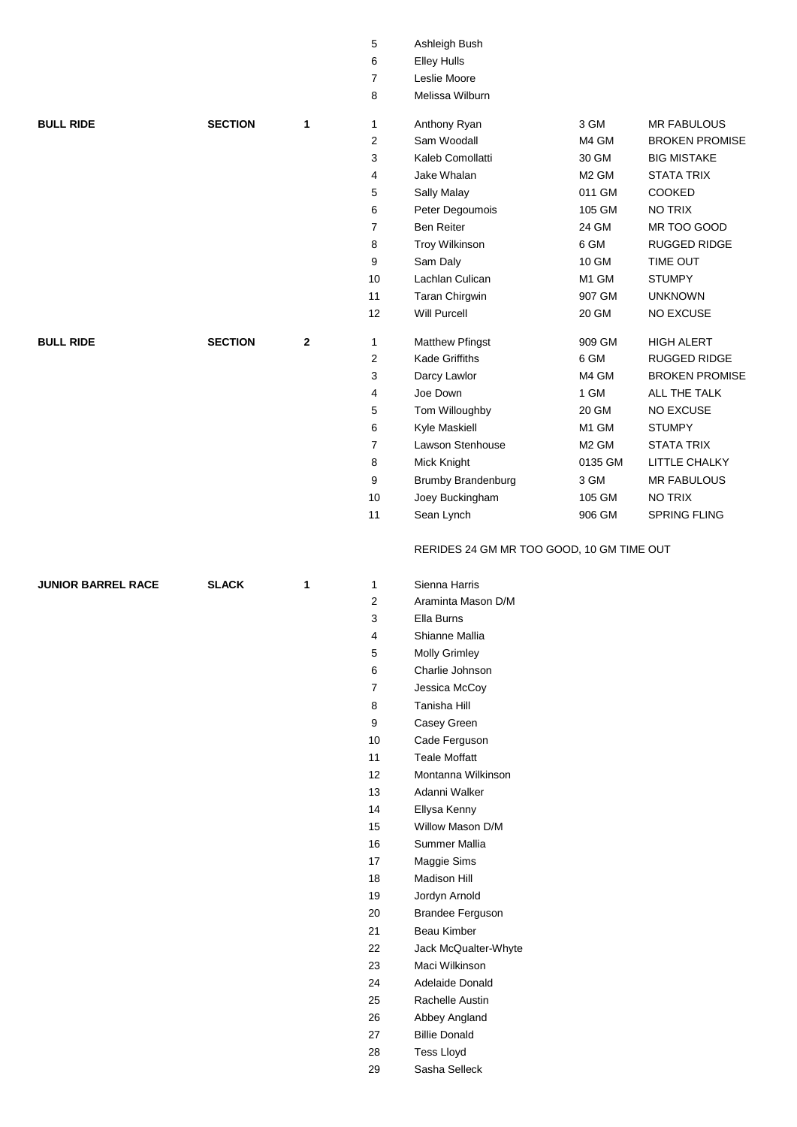| 6<br><b>Elley Hulls</b><br>7<br>Leslie Moore<br>8<br>Melissa Wilburn<br>3 GM<br><b>BULL RIDE</b><br><b>SECTION</b><br><b>MR FABULOUS</b><br>$\mathbf{1}$<br>1<br>Anthony Ryan<br>Sam Woodall<br>$\overline{c}$<br>M4 GM<br><b>BROKEN PROMISE</b><br>3<br>Kaleb Comollatti<br>30 GM<br><b>BIG MISTAKE</b><br>4<br>Jake Whalan<br>M <sub>2</sub> GM<br><b>STATA TRIX</b><br>5<br>Sally Malay<br>011 GM<br>COOKED<br>6<br>Peter Degoumois<br>105 GM<br>NO TRIX<br>7<br><b>Ben Reiter</b><br>24 GM<br>MR TOO GOOD<br>8<br>Troy Wilkinson<br>6 GM<br>RUGGED RIDGE<br>9<br>Sam Daly<br>10 GM<br>TIME OUT<br>10<br>Lachlan Culican<br>M1 GM<br><b>STUMPY</b><br>907 GM<br>11<br>Taran Chirgwin<br><b>UNKNOWN</b><br>Will Purcell<br>12<br>20 GM<br><b>NO EXCUSE</b><br><b>BULL RIDE</b><br><b>SECTION</b><br>$\mathbf{2}$<br>909 GM<br><b>HIGH ALERT</b><br>1<br>Matthew Pfingst<br>6 GM<br>$\overline{c}$<br><b>Kade Griffiths</b><br>RUGGED RIDGE<br>3<br>M4 GM<br><b>BROKEN PROMISE</b><br>Darcy Lawlor<br>Joe Down<br>1 GM<br>4<br>ALL THE TALK<br>5<br>Tom Willoughby<br>20 GM<br>NO EXCUSE<br>6<br>Kyle Maskiell<br>M1 GM<br><b>STUMPY</b><br>$\overline{7}$<br>Lawson Stenhouse<br>M <sub>2</sub> GM<br><b>STATA TRIX</b><br>8<br>Mick Knight<br>0135 GM<br>LITTLE CHALKY<br>3 GM<br>9<br><b>Brumby Brandenburg</b><br><b>MR FABULOUS</b><br>10<br>Joey Buckingham<br>105 GM<br><b>NO TRIX</b><br>11<br>Sean Lynch<br>906 GM<br>SPRING FLING<br>RERIDES 24 GM MR TOO GOOD, 10 GM TIME OUT<br><b>JUNIOR BARREL RACE</b><br><b>SLACK</b><br>Sienna Harris<br>1<br>1<br>2<br>Araminta Mason D/M<br>3<br>Ella Burns<br>Shianne Mallia<br>4<br>5<br><b>Molly Grimley</b><br>6<br>Charlie Johnson<br>Jessica McCoy<br>7<br>8<br>Tanisha Hill<br>9<br>Casey Green<br>10<br>Cade Ferguson<br>11<br><b>Teale Moffatt</b><br>12<br>Montanna Wilkinson<br>13<br>Adanni Walker<br>14<br>Ellysa Kenny<br>Willow Mason D/M<br>15<br>16<br>Summer Mallia<br>$17$<br>Maggie Sims<br>$18$<br><b>Madison Hill</b><br>19<br>Jordyn Arnold<br>$20\,$<br><b>Brandee Ferguson</b><br>21<br>Beau Kimber<br>22<br>Jack McQualter-Whyte<br>23<br>Maci Wilkinson<br>Adelaide Donald<br>24<br>25<br>Rachelle Austin<br>26<br>Abbey Angland<br>27<br><b>Billie Donald</b><br>28<br><b>Tess Lloyd</b><br>29<br>Sasha Selleck |  | 5 | Ashleigh Bush |  |
|-------------------------------------------------------------------------------------------------------------------------------------------------------------------------------------------------------------------------------------------------------------------------------------------------------------------------------------------------------------------------------------------------------------------------------------------------------------------------------------------------------------------------------------------------------------------------------------------------------------------------------------------------------------------------------------------------------------------------------------------------------------------------------------------------------------------------------------------------------------------------------------------------------------------------------------------------------------------------------------------------------------------------------------------------------------------------------------------------------------------------------------------------------------------------------------------------------------------------------------------------------------------------------------------------------------------------------------------------------------------------------------------------------------------------------------------------------------------------------------------------------------------------------------------------------------------------------------------------------------------------------------------------------------------------------------------------------------------------------------------------------------------------------------------------------------------------------------------------------------------------------------------------------------------------------------------------------------------------------------------------------------------------------------------------------------------------------------------------------------------------------------------------------------------------------------------------------------------------------------------------------------------------------------------------|--|---|---------------|--|
|                                                                                                                                                                                                                                                                                                                                                                                                                                                                                                                                                                                                                                                                                                                                                                                                                                                                                                                                                                                                                                                                                                                                                                                                                                                                                                                                                                                                                                                                                                                                                                                                                                                                                                                                                                                                                                                                                                                                                                                                                                                                                                                                                                                                                                                                                                 |  |   |               |  |
|                                                                                                                                                                                                                                                                                                                                                                                                                                                                                                                                                                                                                                                                                                                                                                                                                                                                                                                                                                                                                                                                                                                                                                                                                                                                                                                                                                                                                                                                                                                                                                                                                                                                                                                                                                                                                                                                                                                                                                                                                                                                                                                                                                                                                                                                                                 |  |   |               |  |
|                                                                                                                                                                                                                                                                                                                                                                                                                                                                                                                                                                                                                                                                                                                                                                                                                                                                                                                                                                                                                                                                                                                                                                                                                                                                                                                                                                                                                                                                                                                                                                                                                                                                                                                                                                                                                                                                                                                                                                                                                                                                                                                                                                                                                                                                                                 |  |   |               |  |
|                                                                                                                                                                                                                                                                                                                                                                                                                                                                                                                                                                                                                                                                                                                                                                                                                                                                                                                                                                                                                                                                                                                                                                                                                                                                                                                                                                                                                                                                                                                                                                                                                                                                                                                                                                                                                                                                                                                                                                                                                                                                                                                                                                                                                                                                                                 |  |   |               |  |
|                                                                                                                                                                                                                                                                                                                                                                                                                                                                                                                                                                                                                                                                                                                                                                                                                                                                                                                                                                                                                                                                                                                                                                                                                                                                                                                                                                                                                                                                                                                                                                                                                                                                                                                                                                                                                                                                                                                                                                                                                                                                                                                                                                                                                                                                                                 |  |   |               |  |
|                                                                                                                                                                                                                                                                                                                                                                                                                                                                                                                                                                                                                                                                                                                                                                                                                                                                                                                                                                                                                                                                                                                                                                                                                                                                                                                                                                                                                                                                                                                                                                                                                                                                                                                                                                                                                                                                                                                                                                                                                                                                                                                                                                                                                                                                                                 |  |   |               |  |
|                                                                                                                                                                                                                                                                                                                                                                                                                                                                                                                                                                                                                                                                                                                                                                                                                                                                                                                                                                                                                                                                                                                                                                                                                                                                                                                                                                                                                                                                                                                                                                                                                                                                                                                                                                                                                                                                                                                                                                                                                                                                                                                                                                                                                                                                                                 |  |   |               |  |
|                                                                                                                                                                                                                                                                                                                                                                                                                                                                                                                                                                                                                                                                                                                                                                                                                                                                                                                                                                                                                                                                                                                                                                                                                                                                                                                                                                                                                                                                                                                                                                                                                                                                                                                                                                                                                                                                                                                                                                                                                                                                                                                                                                                                                                                                                                 |  |   |               |  |
|                                                                                                                                                                                                                                                                                                                                                                                                                                                                                                                                                                                                                                                                                                                                                                                                                                                                                                                                                                                                                                                                                                                                                                                                                                                                                                                                                                                                                                                                                                                                                                                                                                                                                                                                                                                                                                                                                                                                                                                                                                                                                                                                                                                                                                                                                                 |  |   |               |  |
|                                                                                                                                                                                                                                                                                                                                                                                                                                                                                                                                                                                                                                                                                                                                                                                                                                                                                                                                                                                                                                                                                                                                                                                                                                                                                                                                                                                                                                                                                                                                                                                                                                                                                                                                                                                                                                                                                                                                                                                                                                                                                                                                                                                                                                                                                                 |  |   |               |  |
|                                                                                                                                                                                                                                                                                                                                                                                                                                                                                                                                                                                                                                                                                                                                                                                                                                                                                                                                                                                                                                                                                                                                                                                                                                                                                                                                                                                                                                                                                                                                                                                                                                                                                                                                                                                                                                                                                                                                                                                                                                                                                                                                                                                                                                                                                                 |  |   |               |  |
|                                                                                                                                                                                                                                                                                                                                                                                                                                                                                                                                                                                                                                                                                                                                                                                                                                                                                                                                                                                                                                                                                                                                                                                                                                                                                                                                                                                                                                                                                                                                                                                                                                                                                                                                                                                                                                                                                                                                                                                                                                                                                                                                                                                                                                                                                                 |  |   |               |  |
|                                                                                                                                                                                                                                                                                                                                                                                                                                                                                                                                                                                                                                                                                                                                                                                                                                                                                                                                                                                                                                                                                                                                                                                                                                                                                                                                                                                                                                                                                                                                                                                                                                                                                                                                                                                                                                                                                                                                                                                                                                                                                                                                                                                                                                                                                                 |  |   |               |  |
|                                                                                                                                                                                                                                                                                                                                                                                                                                                                                                                                                                                                                                                                                                                                                                                                                                                                                                                                                                                                                                                                                                                                                                                                                                                                                                                                                                                                                                                                                                                                                                                                                                                                                                                                                                                                                                                                                                                                                                                                                                                                                                                                                                                                                                                                                                 |  |   |               |  |
|                                                                                                                                                                                                                                                                                                                                                                                                                                                                                                                                                                                                                                                                                                                                                                                                                                                                                                                                                                                                                                                                                                                                                                                                                                                                                                                                                                                                                                                                                                                                                                                                                                                                                                                                                                                                                                                                                                                                                                                                                                                                                                                                                                                                                                                                                                 |  |   |               |  |
|                                                                                                                                                                                                                                                                                                                                                                                                                                                                                                                                                                                                                                                                                                                                                                                                                                                                                                                                                                                                                                                                                                                                                                                                                                                                                                                                                                                                                                                                                                                                                                                                                                                                                                                                                                                                                                                                                                                                                                                                                                                                                                                                                                                                                                                                                                 |  |   |               |  |
|                                                                                                                                                                                                                                                                                                                                                                                                                                                                                                                                                                                                                                                                                                                                                                                                                                                                                                                                                                                                                                                                                                                                                                                                                                                                                                                                                                                                                                                                                                                                                                                                                                                                                                                                                                                                                                                                                                                                                                                                                                                                                                                                                                                                                                                                                                 |  |   |               |  |
|                                                                                                                                                                                                                                                                                                                                                                                                                                                                                                                                                                                                                                                                                                                                                                                                                                                                                                                                                                                                                                                                                                                                                                                                                                                                                                                                                                                                                                                                                                                                                                                                                                                                                                                                                                                                                                                                                                                                                                                                                                                                                                                                                                                                                                                                                                 |  |   |               |  |
|                                                                                                                                                                                                                                                                                                                                                                                                                                                                                                                                                                                                                                                                                                                                                                                                                                                                                                                                                                                                                                                                                                                                                                                                                                                                                                                                                                                                                                                                                                                                                                                                                                                                                                                                                                                                                                                                                                                                                                                                                                                                                                                                                                                                                                                                                                 |  |   |               |  |
|                                                                                                                                                                                                                                                                                                                                                                                                                                                                                                                                                                                                                                                                                                                                                                                                                                                                                                                                                                                                                                                                                                                                                                                                                                                                                                                                                                                                                                                                                                                                                                                                                                                                                                                                                                                                                                                                                                                                                                                                                                                                                                                                                                                                                                                                                                 |  |   |               |  |
|                                                                                                                                                                                                                                                                                                                                                                                                                                                                                                                                                                                                                                                                                                                                                                                                                                                                                                                                                                                                                                                                                                                                                                                                                                                                                                                                                                                                                                                                                                                                                                                                                                                                                                                                                                                                                                                                                                                                                                                                                                                                                                                                                                                                                                                                                                 |  |   |               |  |
|                                                                                                                                                                                                                                                                                                                                                                                                                                                                                                                                                                                                                                                                                                                                                                                                                                                                                                                                                                                                                                                                                                                                                                                                                                                                                                                                                                                                                                                                                                                                                                                                                                                                                                                                                                                                                                                                                                                                                                                                                                                                                                                                                                                                                                                                                                 |  |   |               |  |
|                                                                                                                                                                                                                                                                                                                                                                                                                                                                                                                                                                                                                                                                                                                                                                                                                                                                                                                                                                                                                                                                                                                                                                                                                                                                                                                                                                                                                                                                                                                                                                                                                                                                                                                                                                                                                                                                                                                                                                                                                                                                                                                                                                                                                                                                                                 |  |   |               |  |
|                                                                                                                                                                                                                                                                                                                                                                                                                                                                                                                                                                                                                                                                                                                                                                                                                                                                                                                                                                                                                                                                                                                                                                                                                                                                                                                                                                                                                                                                                                                                                                                                                                                                                                                                                                                                                                                                                                                                                                                                                                                                                                                                                                                                                                                                                                 |  |   |               |  |
|                                                                                                                                                                                                                                                                                                                                                                                                                                                                                                                                                                                                                                                                                                                                                                                                                                                                                                                                                                                                                                                                                                                                                                                                                                                                                                                                                                                                                                                                                                                                                                                                                                                                                                                                                                                                                                                                                                                                                                                                                                                                                                                                                                                                                                                                                                 |  |   |               |  |
|                                                                                                                                                                                                                                                                                                                                                                                                                                                                                                                                                                                                                                                                                                                                                                                                                                                                                                                                                                                                                                                                                                                                                                                                                                                                                                                                                                                                                                                                                                                                                                                                                                                                                                                                                                                                                                                                                                                                                                                                                                                                                                                                                                                                                                                                                                 |  |   |               |  |
|                                                                                                                                                                                                                                                                                                                                                                                                                                                                                                                                                                                                                                                                                                                                                                                                                                                                                                                                                                                                                                                                                                                                                                                                                                                                                                                                                                                                                                                                                                                                                                                                                                                                                                                                                                                                                                                                                                                                                                                                                                                                                                                                                                                                                                                                                                 |  |   |               |  |
|                                                                                                                                                                                                                                                                                                                                                                                                                                                                                                                                                                                                                                                                                                                                                                                                                                                                                                                                                                                                                                                                                                                                                                                                                                                                                                                                                                                                                                                                                                                                                                                                                                                                                                                                                                                                                                                                                                                                                                                                                                                                                                                                                                                                                                                                                                 |  |   |               |  |
|                                                                                                                                                                                                                                                                                                                                                                                                                                                                                                                                                                                                                                                                                                                                                                                                                                                                                                                                                                                                                                                                                                                                                                                                                                                                                                                                                                                                                                                                                                                                                                                                                                                                                                                                                                                                                                                                                                                                                                                                                                                                                                                                                                                                                                                                                                 |  |   |               |  |
|                                                                                                                                                                                                                                                                                                                                                                                                                                                                                                                                                                                                                                                                                                                                                                                                                                                                                                                                                                                                                                                                                                                                                                                                                                                                                                                                                                                                                                                                                                                                                                                                                                                                                                                                                                                                                                                                                                                                                                                                                                                                                                                                                                                                                                                                                                 |  |   |               |  |
|                                                                                                                                                                                                                                                                                                                                                                                                                                                                                                                                                                                                                                                                                                                                                                                                                                                                                                                                                                                                                                                                                                                                                                                                                                                                                                                                                                                                                                                                                                                                                                                                                                                                                                                                                                                                                                                                                                                                                                                                                                                                                                                                                                                                                                                                                                 |  |   |               |  |
|                                                                                                                                                                                                                                                                                                                                                                                                                                                                                                                                                                                                                                                                                                                                                                                                                                                                                                                                                                                                                                                                                                                                                                                                                                                                                                                                                                                                                                                                                                                                                                                                                                                                                                                                                                                                                                                                                                                                                                                                                                                                                                                                                                                                                                                                                                 |  |   |               |  |
|                                                                                                                                                                                                                                                                                                                                                                                                                                                                                                                                                                                                                                                                                                                                                                                                                                                                                                                                                                                                                                                                                                                                                                                                                                                                                                                                                                                                                                                                                                                                                                                                                                                                                                                                                                                                                                                                                                                                                                                                                                                                                                                                                                                                                                                                                                 |  |   |               |  |
|                                                                                                                                                                                                                                                                                                                                                                                                                                                                                                                                                                                                                                                                                                                                                                                                                                                                                                                                                                                                                                                                                                                                                                                                                                                                                                                                                                                                                                                                                                                                                                                                                                                                                                                                                                                                                                                                                                                                                                                                                                                                                                                                                                                                                                                                                                 |  |   |               |  |
|                                                                                                                                                                                                                                                                                                                                                                                                                                                                                                                                                                                                                                                                                                                                                                                                                                                                                                                                                                                                                                                                                                                                                                                                                                                                                                                                                                                                                                                                                                                                                                                                                                                                                                                                                                                                                                                                                                                                                                                                                                                                                                                                                                                                                                                                                                 |  |   |               |  |
|                                                                                                                                                                                                                                                                                                                                                                                                                                                                                                                                                                                                                                                                                                                                                                                                                                                                                                                                                                                                                                                                                                                                                                                                                                                                                                                                                                                                                                                                                                                                                                                                                                                                                                                                                                                                                                                                                                                                                                                                                                                                                                                                                                                                                                                                                                 |  |   |               |  |
|                                                                                                                                                                                                                                                                                                                                                                                                                                                                                                                                                                                                                                                                                                                                                                                                                                                                                                                                                                                                                                                                                                                                                                                                                                                                                                                                                                                                                                                                                                                                                                                                                                                                                                                                                                                                                                                                                                                                                                                                                                                                                                                                                                                                                                                                                                 |  |   |               |  |
|                                                                                                                                                                                                                                                                                                                                                                                                                                                                                                                                                                                                                                                                                                                                                                                                                                                                                                                                                                                                                                                                                                                                                                                                                                                                                                                                                                                                                                                                                                                                                                                                                                                                                                                                                                                                                                                                                                                                                                                                                                                                                                                                                                                                                                                                                                 |  |   |               |  |
|                                                                                                                                                                                                                                                                                                                                                                                                                                                                                                                                                                                                                                                                                                                                                                                                                                                                                                                                                                                                                                                                                                                                                                                                                                                                                                                                                                                                                                                                                                                                                                                                                                                                                                                                                                                                                                                                                                                                                                                                                                                                                                                                                                                                                                                                                                 |  |   |               |  |
|                                                                                                                                                                                                                                                                                                                                                                                                                                                                                                                                                                                                                                                                                                                                                                                                                                                                                                                                                                                                                                                                                                                                                                                                                                                                                                                                                                                                                                                                                                                                                                                                                                                                                                                                                                                                                                                                                                                                                                                                                                                                                                                                                                                                                                                                                                 |  |   |               |  |
|                                                                                                                                                                                                                                                                                                                                                                                                                                                                                                                                                                                                                                                                                                                                                                                                                                                                                                                                                                                                                                                                                                                                                                                                                                                                                                                                                                                                                                                                                                                                                                                                                                                                                                                                                                                                                                                                                                                                                                                                                                                                                                                                                                                                                                                                                                 |  |   |               |  |
|                                                                                                                                                                                                                                                                                                                                                                                                                                                                                                                                                                                                                                                                                                                                                                                                                                                                                                                                                                                                                                                                                                                                                                                                                                                                                                                                                                                                                                                                                                                                                                                                                                                                                                                                                                                                                                                                                                                                                                                                                                                                                                                                                                                                                                                                                                 |  |   |               |  |
|                                                                                                                                                                                                                                                                                                                                                                                                                                                                                                                                                                                                                                                                                                                                                                                                                                                                                                                                                                                                                                                                                                                                                                                                                                                                                                                                                                                                                                                                                                                                                                                                                                                                                                                                                                                                                                                                                                                                                                                                                                                                                                                                                                                                                                                                                                 |  |   |               |  |
|                                                                                                                                                                                                                                                                                                                                                                                                                                                                                                                                                                                                                                                                                                                                                                                                                                                                                                                                                                                                                                                                                                                                                                                                                                                                                                                                                                                                                                                                                                                                                                                                                                                                                                                                                                                                                                                                                                                                                                                                                                                                                                                                                                                                                                                                                                 |  |   |               |  |
|                                                                                                                                                                                                                                                                                                                                                                                                                                                                                                                                                                                                                                                                                                                                                                                                                                                                                                                                                                                                                                                                                                                                                                                                                                                                                                                                                                                                                                                                                                                                                                                                                                                                                                                                                                                                                                                                                                                                                                                                                                                                                                                                                                                                                                                                                                 |  |   |               |  |
|                                                                                                                                                                                                                                                                                                                                                                                                                                                                                                                                                                                                                                                                                                                                                                                                                                                                                                                                                                                                                                                                                                                                                                                                                                                                                                                                                                                                                                                                                                                                                                                                                                                                                                                                                                                                                                                                                                                                                                                                                                                                                                                                                                                                                                                                                                 |  |   |               |  |
|                                                                                                                                                                                                                                                                                                                                                                                                                                                                                                                                                                                                                                                                                                                                                                                                                                                                                                                                                                                                                                                                                                                                                                                                                                                                                                                                                                                                                                                                                                                                                                                                                                                                                                                                                                                                                                                                                                                                                                                                                                                                                                                                                                                                                                                                                                 |  |   |               |  |
|                                                                                                                                                                                                                                                                                                                                                                                                                                                                                                                                                                                                                                                                                                                                                                                                                                                                                                                                                                                                                                                                                                                                                                                                                                                                                                                                                                                                                                                                                                                                                                                                                                                                                                                                                                                                                                                                                                                                                                                                                                                                                                                                                                                                                                                                                                 |  |   |               |  |
|                                                                                                                                                                                                                                                                                                                                                                                                                                                                                                                                                                                                                                                                                                                                                                                                                                                                                                                                                                                                                                                                                                                                                                                                                                                                                                                                                                                                                                                                                                                                                                                                                                                                                                                                                                                                                                                                                                                                                                                                                                                                                                                                                                                                                                                                                                 |  |   |               |  |
|                                                                                                                                                                                                                                                                                                                                                                                                                                                                                                                                                                                                                                                                                                                                                                                                                                                                                                                                                                                                                                                                                                                                                                                                                                                                                                                                                                                                                                                                                                                                                                                                                                                                                                                                                                                                                                                                                                                                                                                                                                                                                                                                                                                                                                                                                                 |  |   |               |  |
|                                                                                                                                                                                                                                                                                                                                                                                                                                                                                                                                                                                                                                                                                                                                                                                                                                                                                                                                                                                                                                                                                                                                                                                                                                                                                                                                                                                                                                                                                                                                                                                                                                                                                                                                                                                                                                                                                                                                                                                                                                                                                                                                                                                                                                                                                                 |  |   |               |  |
|                                                                                                                                                                                                                                                                                                                                                                                                                                                                                                                                                                                                                                                                                                                                                                                                                                                                                                                                                                                                                                                                                                                                                                                                                                                                                                                                                                                                                                                                                                                                                                                                                                                                                                                                                                                                                                                                                                                                                                                                                                                                                                                                                                                                                                                                                                 |  |   |               |  |
|                                                                                                                                                                                                                                                                                                                                                                                                                                                                                                                                                                                                                                                                                                                                                                                                                                                                                                                                                                                                                                                                                                                                                                                                                                                                                                                                                                                                                                                                                                                                                                                                                                                                                                                                                                                                                                                                                                                                                                                                                                                                                                                                                                                                                                                                                                 |  |   |               |  |
|                                                                                                                                                                                                                                                                                                                                                                                                                                                                                                                                                                                                                                                                                                                                                                                                                                                                                                                                                                                                                                                                                                                                                                                                                                                                                                                                                                                                                                                                                                                                                                                                                                                                                                                                                                                                                                                                                                                                                                                                                                                                                                                                                                                                                                                                                                 |  |   |               |  |
|                                                                                                                                                                                                                                                                                                                                                                                                                                                                                                                                                                                                                                                                                                                                                                                                                                                                                                                                                                                                                                                                                                                                                                                                                                                                                                                                                                                                                                                                                                                                                                                                                                                                                                                                                                                                                                                                                                                                                                                                                                                                                                                                                                                                                                                                                                 |  |   |               |  |
|                                                                                                                                                                                                                                                                                                                                                                                                                                                                                                                                                                                                                                                                                                                                                                                                                                                                                                                                                                                                                                                                                                                                                                                                                                                                                                                                                                                                                                                                                                                                                                                                                                                                                                                                                                                                                                                                                                                                                                                                                                                                                                                                                                                                                                                                                                 |  |   |               |  |
|                                                                                                                                                                                                                                                                                                                                                                                                                                                                                                                                                                                                                                                                                                                                                                                                                                                                                                                                                                                                                                                                                                                                                                                                                                                                                                                                                                                                                                                                                                                                                                                                                                                                                                                                                                                                                                                                                                                                                                                                                                                                                                                                                                                                                                                                                                 |  |   |               |  |
|                                                                                                                                                                                                                                                                                                                                                                                                                                                                                                                                                                                                                                                                                                                                                                                                                                                                                                                                                                                                                                                                                                                                                                                                                                                                                                                                                                                                                                                                                                                                                                                                                                                                                                                                                                                                                                                                                                                                                                                                                                                                                                                                                                                                                                                                                                 |  |   |               |  |
|                                                                                                                                                                                                                                                                                                                                                                                                                                                                                                                                                                                                                                                                                                                                                                                                                                                                                                                                                                                                                                                                                                                                                                                                                                                                                                                                                                                                                                                                                                                                                                                                                                                                                                                                                                                                                                                                                                                                                                                                                                                                                                                                                                                                                                                                                                 |  |   |               |  |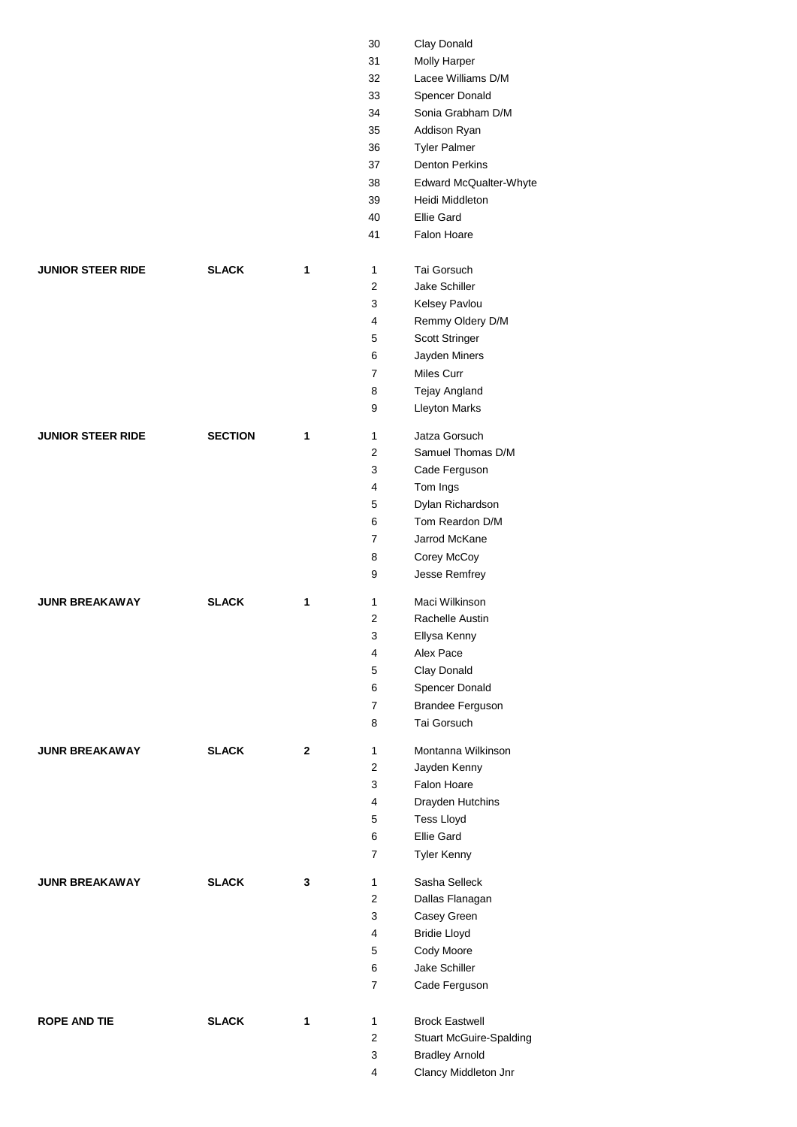|                          |                |              | 30             | Clay Donald                    |
|--------------------------|----------------|--------------|----------------|--------------------------------|
|                          |                |              | 31             | <b>Molly Harper</b>            |
|                          |                |              | 32             | Lacee Williams D/M             |
|                          |                |              | 33             | Spencer Donald                 |
|                          |                |              | 34             | Sonia Grabham D/M              |
|                          |                |              | 35             | Addison Ryan                   |
|                          |                |              | 36             | <b>Tyler Palmer</b>            |
|                          |                |              | 37             | <b>Denton Perkins</b>          |
|                          |                |              | 38             | Edward McQualter-Whyte         |
|                          |                |              | 39             | Heidi Middleton                |
|                          |                |              | 40             | Ellie Gard                     |
|                          |                |              | 41             | Falon Hoare                    |
| <b>JUNIOR STEER RIDE</b> | <b>SLACK</b>   | 1            | $\mathbf{1}$   | Tai Gorsuch                    |
|                          |                |              | 2              | Jake Schiller                  |
|                          |                |              | 3              | Kelsey Pavlou                  |
|                          |                |              | 4              | Remmy Oldery D/M               |
|                          |                |              | 5              | Scott Stringer                 |
|                          |                |              | 6              | Jayden Miners                  |
|                          |                |              | 7              | Miles Curr                     |
|                          |                |              | 8              | Tejay Angland                  |
|                          |                |              | 9              | <b>Lleyton Marks</b>           |
| <b>JUNIOR STEER RIDE</b> | <b>SECTION</b> | 1            | 1              | Jatza Gorsuch                  |
|                          |                |              | $\overline{2}$ | Samuel Thomas D/M              |
|                          |                |              | 3              | Cade Ferguson                  |
|                          |                |              | 4              | Tom Ings                       |
|                          |                |              | 5              | Dylan Richardson               |
|                          |                |              | 6              | Tom Reardon D/M                |
|                          |                |              | 7              | Jarrod McKane                  |
|                          |                |              | 8              | Corey McCoy                    |
|                          |                |              | 9              | Jesse Remfrey                  |
| <b>JUNR BREAKAWAY</b>    | <b>SLACK</b>   | 1            | 1              | Maci Wilkinson                 |
|                          |                |              | 2              | Rachelle Austin                |
|                          |                |              | 3              | Ellysa Kenny                   |
|                          |                |              | 4              | Alex Pace                      |
|                          |                |              | 5              | Clay Donald                    |
|                          |                |              | 6              | Spencer Donald                 |
|                          |                |              | 7              | <b>Brandee Ferguson</b>        |
|                          |                |              | 8              | Tai Gorsuch                    |
| <b>JUNR BREAKAWAY</b>    | <b>SLACK</b>   | $\mathbf{2}$ | 1              | Montanna Wilkinson             |
|                          |                |              | $\overline{2}$ | Jayden Kenny                   |
|                          |                |              | 3              | Falon Hoare                    |
|                          |                |              | 4              | Drayden Hutchins               |
|                          |                |              | 5              | Tess Lloyd                     |
|                          |                |              | 6              | Ellie Gard                     |
|                          |                |              | 7              | <b>Tyler Kenny</b>             |
| <b>JUNR BREAKAWAY</b>    | <b>SLACK</b>   | 3            | $\mathbf{1}$   | Sasha Selleck                  |
|                          |                |              | $\overline{2}$ | Dallas Flanagan                |
|                          |                |              | 3              | Casey Green                    |
|                          |                |              | 4              | <b>Bridie Lloyd</b>            |
|                          |                |              | 5              | Cody Moore                     |
|                          |                |              | 6              | Jake Schiller                  |
|                          |                |              | 7              | Cade Ferguson                  |
| <b>ROPE AND TIE</b>      | <b>SLACK</b>   | 1            | $\mathbf{1}$   | <b>Brock Eastwell</b>          |
|                          |                |              | 2              | <b>Stuart McGuire-Spalding</b> |
|                          |                |              | 3              | <b>Bradley Arnold</b>          |
|                          |                |              | 4              | Clancy Middleton Jnr           |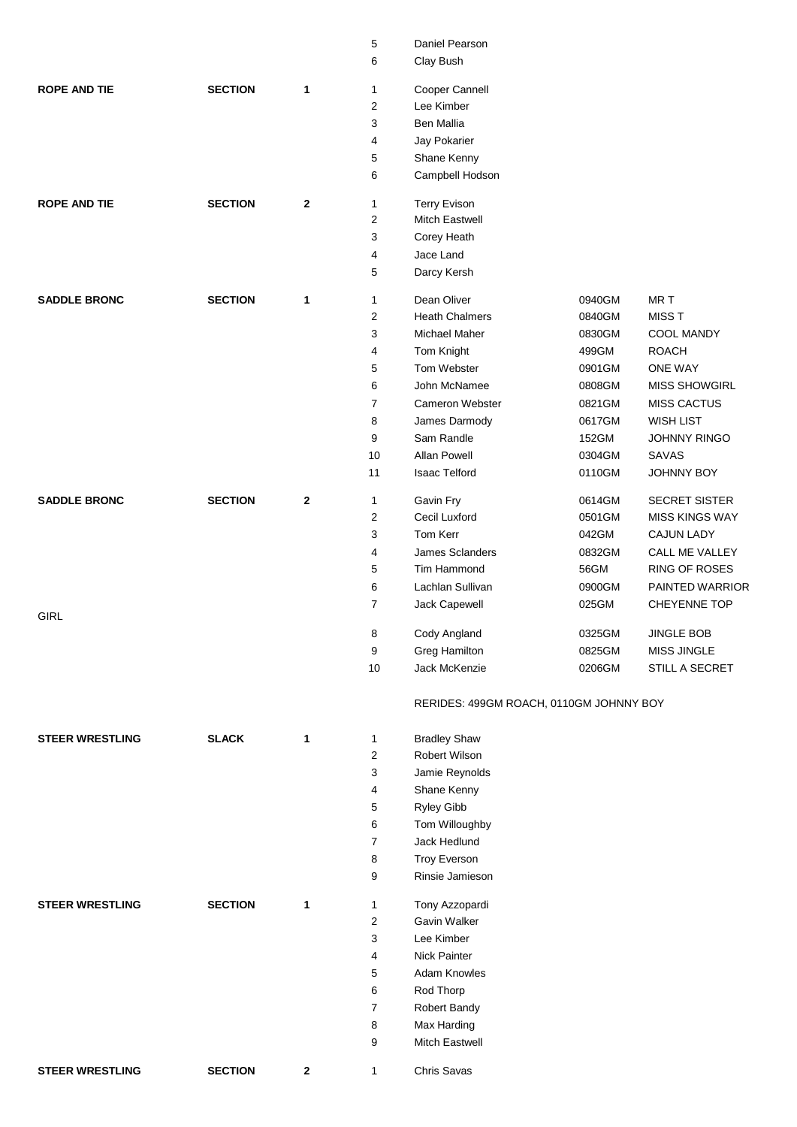|                        |                |             | 5              | Daniel Pearson                          |                  |                               |
|------------------------|----------------|-------------|----------------|-----------------------------------------|------------------|-------------------------------|
|                        |                |             | 6              | Clay Bush                               |                  |                               |
|                        |                |             |                |                                         |                  |                               |
| <b>ROPE AND TIE</b>    | <b>SECTION</b> | 1           | $\mathbf{1}$   | Cooper Cannell                          |                  |                               |
|                        |                |             | $\overline{2}$ | Lee Kimber                              |                  |                               |
|                        |                |             | 3              | <b>Ben Mallia</b>                       |                  |                               |
|                        |                |             | 4              | Jay Pokarier                            |                  |                               |
|                        |                |             | 5              | Shane Kenny                             |                  |                               |
|                        |                |             | 6              | Campbell Hodson                         |                  |                               |
| <b>ROPE AND TIE</b>    | <b>SECTION</b> | $\mathbf 2$ | 1              | <b>Terry Evison</b>                     |                  |                               |
|                        |                |             | $\overline{2}$ | <b>Mitch Eastwell</b>                   |                  |                               |
|                        |                |             |                |                                         |                  |                               |
|                        |                |             | 3              | Corey Heath                             |                  |                               |
|                        |                |             | 4              | Jace Land                               |                  |                               |
|                        |                |             | 5              | Darcy Kersh                             |                  |                               |
| <b>SADDLE BRONC</b>    | <b>SECTION</b> | 1           | $\mathbf{1}$   | Dean Oliver                             | 0940GM           | MR T                          |
|                        |                |             | 2              | <b>Heath Chalmers</b>                   | 0840GM           | MISS T                        |
|                        |                |             | 3              | Michael Maher                           | 0830GM           | COOL MANDY                    |
|                        |                |             | 4              | Tom Knight                              | 499GM            | <b>ROACH</b>                  |
|                        |                |             | 5              | Tom Webster                             | 0901GM           | <b>ONE WAY</b>                |
|                        |                |             | 6              | John McNamee                            | 0808GM           | <b>MISS SHOWGIRL</b>          |
|                        |                |             | 7              | Cameron Webster                         | 0821GM           | <b>MISS CACTUS</b>            |
|                        |                |             | 8              | James Darmody                           | 0617GM           | <b>WISH LIST</b>              |
|                        |                |             | 9              | Sam Randle                              | 152GM            | JOHNNY RINGO                  |
|                        |                |             | 10             | Allan Powell                            | 0304GM           | SAVAS                         |
|                        |                |             | 11             |                                         |                  |                               |
|                        |                |             |                | Isaac Telford                           | 0110GM           | JOHNNY BOY                    |
| <b>SADDLE BRONC</b>    | <b>SECTION</b> | $\mathbf 2$ | $\mathbf{1}$   | Gavin Fry                               | 0614GM           | <b>SECRET SISTER</b>          |
|                        |                |             | $\mathbf{2}$   | Cecil Luxford                           | 0501GM           | <b>MISS KINGS WAY</b>         |
|                        |                |             | 3              | Tom Kerr                                | 042GM            | <b>CAJUN LADY</b>             |
|                        |                |             | 4              | James Sclanders                         | 0832GM           | CALL ME VALLEY                |
|                        |                |             | 5              | Tim Hammond                             | 56GM             | RING OF ROSES                 |
|                        |                |             | 6              | Lachlan Sullivan                        | 0900GM           | PAINTED WARRIOR               |
|                        |                |             | $\overline{7}$ | Jack Capewell                           | 025GM            | CHEYENNE TOP                  |
| <b>GIRL</b>            |                |             |                |                                         |                  |                               |
|                        |                |             | 8              | Cody Angland                            | 0325GM           | <b>JINGLE BOB</b>             |
|                        |                |             | 9<br>$10$      | <b>Greg Hamilton</b><br>Jack McKenzie   | 0825GM<br>0206GM | MISS JINGLE<br>STILL A SECRET |
|                        |                |             |                |                                         |                  |                               |
|                        |                |             |                | RERIDES: 499GM ROACH, 0110GM JOHNNY BOY |                  |                               |
| <b>STEER WRESTLING</b> | <b>SLACK</b>   | 1           | 1              | <b>Bradley Shaw</b>                     |                  |                               |
|                        |                |             | $\overline{c}$ | Robert Wilson                           |                  |                               |
|                        |                |             | 3              | Jamie Reynolds                          |                  |                               |
|                        |                |             | 4              | Shane Kenny                             |                  |                               |
|                        |                |             | 5              | Ryley Gibb                              |                  |                               |
|                        |                |             | 6              | Tom Willoughby                          |                  |                               |
|                        |                |             | 7              | Jack Hedlund                            |                  |                               |
|                        |                |             |                |                                         |                  |                               |
|                        |                |             | 8              | <b>Troy Everson</b>                     |                  |                               |
|                        |                |             | 9              | Rinsie Jamieson                         |                  |                               |
| <b>STEER WRESTLING</b> | <b>SECTION</b> | 1           | 1              | Tony Azzopardi                          |                  |                               |
|                        |                |             | 2              | Gavin Walker                            |                  |                               |
|                        |                |             | 3              | Lee Kimber                              |                  |                               |
|                        |                |             | 4              | Nick Painter                            |                  |                               |
|                        |                |             | 5              | <b>Adam Knowles</b>                     |                  |                               |
|                        |                |             | 6              | Rod Thorp                               |                  |                               |
|                        |                |             | 7              | Robert Bandy                            |                  |                               |
|                        |                |             | 8              | Max Harding                             |                  |                               |
|                        |                |             | 9              | Mitch Eastwell                          |                  |                               |
| <b>STEER WRESTLING</b> | <b>SECTION</b> | 2           | $\mathbf{1}$   | Chris Savas                             |                  |                               |
|                        |                |             |                |                                         |                  |                               |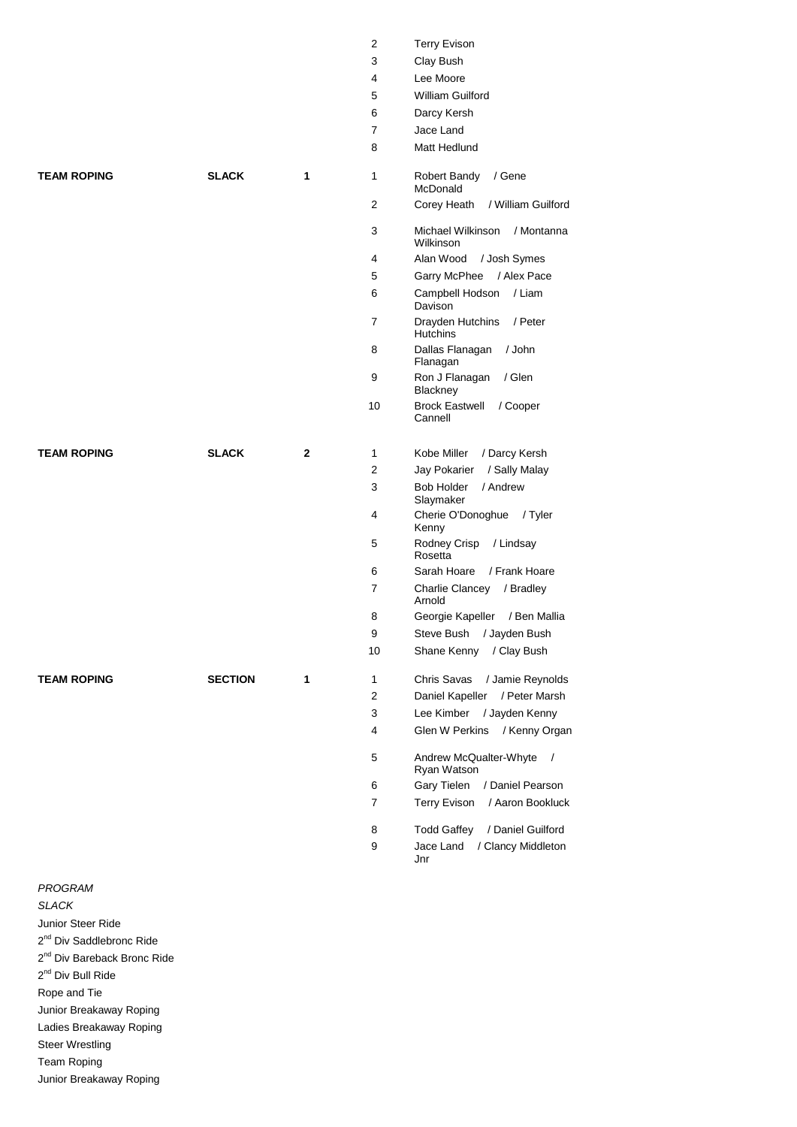|                    |                |              | 2              | <b>Terry Evison</b>                                 |
|--------------------|----------------|--------------|----------------|-----------------------------------------------------|
|                    |                |              | 3              | Clay Bush                                           |
|                    |                |              | 4              | Lee Moore                                           |
|                    |                |              | 5              | <b>William Guilford</b>                             |
|                    |                |              | 6              | Darcy Kersh                                         |
|                    |                |              | $\overline{7}$ | Jace Land                                           |
|                    |                |              | 8              | Matt Hedlund                                        |
| <b>TEAM ROPING</b> | <b>SLACK</b>   | 1            | $\mathbf{1}$   | Robert Bandy<br>/ Gene<br>McDonald                  |
|                    |                |              | 2              | / William Guilford<br>Corey Heath                   |
|                    |                |              | 3              | Michael Wilkinson<br>/ Montanna<br>Wilkinson        |
|                    |                |              | 4              | Alan Wood<br>/ Josh Symes                           |
|                    |                |              | 5              | Garry McPhee<br>/ Alex Pace                         |
|                    |                |              | 6              | Campbell Hodson<br>/ Liam<br>Davison                |
|                    |                |              | 7              | Drayden Hutchins<br>/ Peter<br><b>Hutchins</b>      |
|                    |                |              | 8              | Dallas Flanagan<br>/ John<br>Flanagan               |
|                    |                |              | 9              | Ron J Flanagan<br>/ Glen<br>Blackney                |
|                    |                |              | 10             | <b>Brock Eastwell</b><br>/ Cooper<br>Cannell        |
| <b>TEAM ROPING</b> | <b>SLACK</b>   | $\mathbf{2}$ | $\mathbf{1}$   | Kobe Miller<br>/ Darcy Kersh                        |
|                    |                |              | 2              | Jay Pokarier<br>/ Sally Malay                       |
|                    |                |              | 3              | <b>Bob Holder</b><br>/ Andrew<br>Slaymaker          |
|                    |                |              | 4              | Cherie O'Donoghue<br>/ Tyler<br>Kenny               |
|                    |                |              | 5              | Rodney Crisp<br>/ Lindsay<br>Rosetta                |
|                    |                |              | 6              | Sarah Hoare<br>/ Frank Hoare                        |
|                    |                |              | 7              | Charlie Clancey<br>/ Bradley<br>Arnold              |
|                    |                |              | 8              | Georgie Kapeller<br>/ Ben Mallia                    |
|                    |                |              | 9              | Steve Bush<br>/ Jayden Bush                         |
|                    |                |              | 10             | Shane Kenny<br>/ Clay Bush                          |
| <b>TEAM ROPING</b> | <b>SECTION</b> | 1            | 1              | Chris Savas<br>/ Jamie Reynolds                     |
|                    |                |              | 2              | Daniel Kapeller<br>/ Peter Marsh                    |
|                    |                |              | 3              | Lee Kimber<br>/ Jayden Kenny                        |
|                    |                |              | 4              | Glen W Perkins<br>/ Kenny Organ                     |
|                    |                |              | 5              | Andrew McQualter-Whyte<br>$\sqrt{2}$<br>Ryan Watson |
|                    |                |              | 6              | Gary Tielen<br>/ Daniel Pearson                     |
|                    |                |              | 7              | <b>Terry Evison</b><br>/ Aaron Bookluck             |
|                    |                |              | 8              | <b>Todd Gaffey</b><br>/ Daniel Guilford             |
|                    |                |              | 9              | Jace Land<br>/ Clancy Middleton                     |
|                    |                |              |                | Jnr                                                 |

## Flanagan / John Flanagan <sup>-</sup>lanagan / Glen èy astwell / Cooper **iller** / Darcy Kersh arier / Sally Malay Ider / Andrew ker O'Donoghue / Tyler Crisp / Lindsay Rosetta Hoare / Frank Hoare Clancey / Bradley Kapeller / Ben Mallia ush / Jayden Bush Kenny / Clay Bush **TEAM ROPING SECTION 1** 1 Chris Savas / Jamie Reynolds Kapeller / Peter Marsh 1ber / Jayden Kenny Perkins / Kenny Organ McQualter-Whyte / /atson elen / Daniel Pearson vison / Aaron Bookluck affey / Daniel Guilford

#### *PROGRAM*

*SLACK*

Junior Steer Ride

2<sup>nd</sup> Div Saddlebronc Ride

2<sup>nd</sup> Div Bareback Bronc Ride

2<sup>nd</sup> Div Bull Ride

Rope and Tie

Junior Breakaway Roping

Ladies Breakaway Roping

Steer Wrestling Team Roping

Junior Breakaway Roping